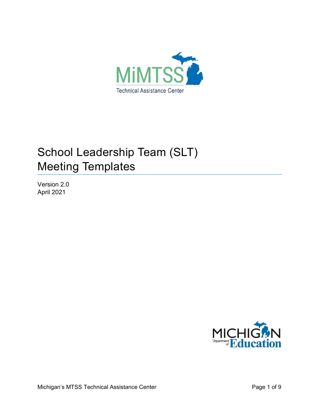

# School Leadership Team (SLT) Meeting Templates

Version 2.0 April 2021

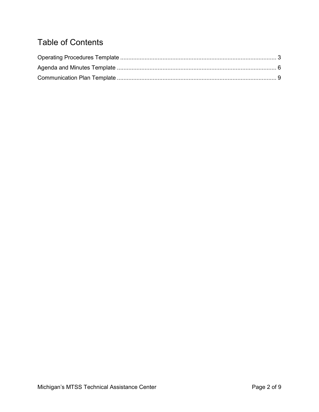## Table of Contents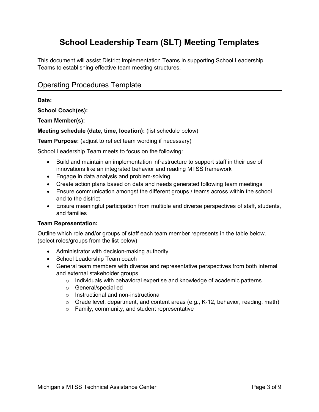## **School Leadership Team (SLT) Meeting Templates**

This document will assist District Implementation Teams in supporting School Leadership Teams to establishing effective team meeting structures.

### <span id="page-2-0"></span>Operating Procedures Template

**Date:**

**School Coach(es):**

**Team Member(s):**

**Meeting schedule (date, time, location):** (list schedule below)

**Team Purpose:** (adjust to reflect team wording if necessary)

School Leadership Team meets to focus on the following:

- Build and maintain an implementation infrastructure to support staff in their use of innovations like an integrated behavior and reading MTSS framework
- Engage in data analysis and problem-solving
- Create action plans based on data and needs generated following team meetings
- Ensure communication amongst the different groups / teams across within the school and to the district
- Ensure meaningful participation from multiple and diverse perspectives of staff, students, and families

#### **Team Representation:**

Outline which role and/or groups of staff each team member represents in the table below. (select roles/groups from the list below)

- Administrator with decision-making authority
- School Leadership Team coach
- General team members with diverse and representative perspectives from both internal and external stakeholder groups
	- o Individuals with behavioral expertise and knowledge of academic patterns
	- o General/special ed
	- o Instructional and non-instructional
	- o Grade level, department, and content areas (e.g., K-12, behavior, reading, math)
	- o Family, community, and student representative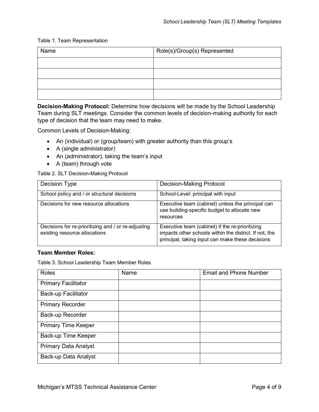#### Table 1. Team Representation

| Name | Role(s)/Group(s) Represented |
|------|------------------------------|
|      |                              |
|      |                              |
|      |                              |
|      |                              |

**Decision-Making Protocol:** Determine how decisions will be made by the School Leadership Team during SLT meetings. Consider the common levels of decision-making authority for each type of decision that the team may need to make.

Common Levels of Decision-Making:

- An (individual) or (group/team) with greater authority than this group's
- A (single administrator)
- An (administrator), taking the team's input
- A (team) through vote

Table 2. SLT Decision-Making Protocol

| Decision Type                                                                        | <b>Decision-Making Protocol</b>                                                                                                                               |
|--------------------------------------------------------------------------------------|---------------------------------------------------------------------------------------------------------------------------------------------------------------|
| School policy and / or structural decisions                                          | School-Level: principal with input                                                                                                                            |
| Decisions for new resource allocations                                               | Executive team (cabinet) unless the principal can<br>use building-specific budget to allocate new<br>resources                                                |
| Decisions for re-prioritizing and / or re-adjusting<br>existing resource allocations | Executive team (cabinet) if the re-prioritizing<br>impacts other schools within the district. If not, the<br>principal, taking input can make these decisions |

#### **Team Member Roles:**

Table 3. School Leadership Team Member Roles

| <b>Roles</b>                | Name | <b>Email and Phone Number</b> |
|-----------------------------|------|-------------------------------|
| <b>Primary Facilitator</b>  |      |                               |
| <b>Back-up Facilitator</b>  |      |                               |
| <b>Primary Recorder</b>     |      |                               |
| Back-up Recorder            |      |                               |
| <b>Primary Time Keeper</b>  |      |                               |
| Back-up Time Keeper         |      |                               |
| <b>Primary Data Analyst</b> |      |                               |
| Back-up Data Analyst        |      |                               |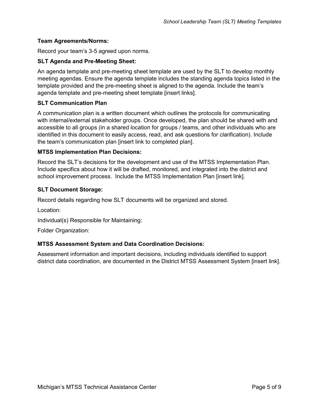#### **Team Agreements/Norms:**

Record your team's 3-5 agreed upon norms.

#### **SLT Agenda and Pre-Meeting Sheet:**

An agenda template and pre-meeting sheet template are used by the SLT to develop monthly meeting agendas. Ensure the agenda template includes the standing agenda topics listed in the template provided and the pre-meeting sheet is aligned to the agenda. Include the team's agenda template and pre-meeting sheet template [insert links].

#### **SLT Communication Plan**

A communication plan is a written document which outlines the protocols for communicating with internal/external stakeholder groups. Once developed, the plan should be shared with and accessible to all groups (in a shared location for groups / teams, and other individuals who are identified in this document to easily access, read, and ask questions for clarification). Include the team's communication plan [insert link to completed plan].

#### **MTSS Implementation Plan Decisions:**

Record the SLT's decisions for the development and use of the MTSS Implementation Plan. Include specifics about how it will be drafted, monitored, and integrated into the district and school improvement process. Include the MTSS Implementation Plan [insert link].

#### **SLT Document Storage:**

Record details regarding how SLT documents will be organized and stored.

Location:

Individual(s) Responsible for Maintaining:

Folder Organization:

#### **MTSS Assessment System and Data Coordination Decisions:**

Assessment information and important decisions, including individuals identified to support district data coordination, are documented in the District MTSS Assessment System [insert link].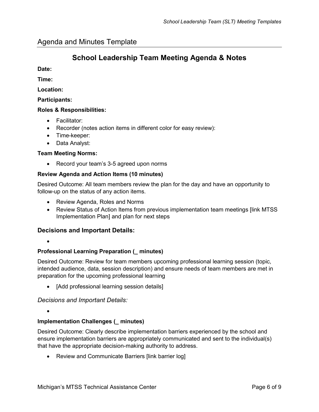## **School Leadership Team Meeting Agenda & Notes**

<span id="page-5-0"></span>**Date:**

**Time:**

**Location:**

**Participants:**

#### **Roles & Responsibilities:**

- Facilitator:
- Recorder (notes action items in different color for easy review):
- Time-keeper:
- Data Analyst:

#### **Team Meeting Norms:**

• Record your team's 3-5 agreed upon norms

#### **Review Agenda and Action Items (10 minutes)**

Desired Outcome: All team members review the plan for the day and have an opportunity to follow-up on the status of any action items.

- Review Agenda, Roles and Norms
- Review Status of Action Items from previous implementation team meetings [link MTSS Implementation Plan] and plan for next steps

#### **Decisions and Important Details:**

•

#### **Professional Learning Preparation (\_ minutes)**

Desired Outcome: Review for team members upcoming professional learning session (topic, intended audience, data, session description) and ensure needs of team members are met in preparation for the upcoming professional learning

[Add professional learning session details]

*Decisions and Important Details:*

•

#### **Implementation Challenges (\_ minutes)**

Desired Outcome: Clearly describe implementation barriers experienced by the school and ensure implementation barriers are appropriately communicated and sent to the individual(s) that have the appropriate decision-making authority to address.

• Review and Communicate Barriers [link barrier log]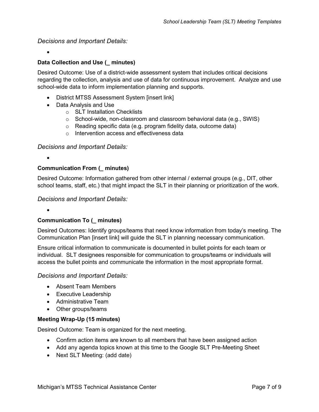#### *Decisions and Important Details:*

•

#### **Data Collection and Use (\_ minutes)**

Desired Outcome: Use of a district-wide assessment system that includes critical decisions regarding the collection, analysis and use of data for continuous improvement. Analyze and use school-wide data to inform implementation planning and supports.

- District MTSS Assessment System [insert link]
- Data Analysis and Use
	- o SLT Installation Checklists
	- $\circ$  School-wide, non-classroom and classroom behavioral data (e.g., SWIS)
	- o Reading specific data (e.g. program fidelity data, outcome data)
	- $\circ$  Intervention access and effectiveness data

#### *Decisions and Important Details:*

•

#### **Communication From (\_ minutes)**

Desired Outcome: Information gathered from other internal / external groups (e.g., DIT, other school teams, staff, etc.) that might impact the SLT in their planning or prioritization of the work.

#### *Decisions and Important Details:*

#### •

#### **Communication To (\_ minutes)**

Desired Outcomes: Identify groups/teams that need know information from today's meeting. The Communication Plan [insert link] will guide the SLT in planning necessary communication.

Ensure critical information to communicate is documented in bullet points for each team or individual. SLT designees responsible for communication to groups/teams or individuals will access the bullet points and communicate the information in the most appropriate format.

#### *Decisions and Important Details:*

- Absent Team Members
- Executive Leadership
- Administrative Team
- Other groups/teams

#### **Meeting Wrap-Up (15 minutes)**

Desired Outcome: Team is organized for the next meeting.

- Confirm action items are known to all members that have been assigned action
- Add any agenda topics known at this time to the Google SLT Pre-Meeting Sheet
- Next SLT Meeting: (add date)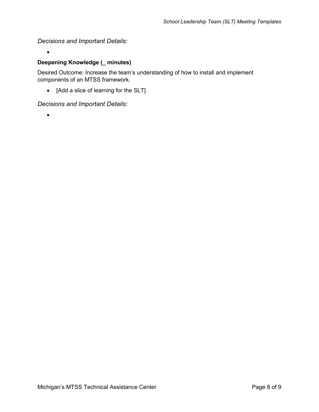*Decisions and Important Details:*

#### **Deepening Knowledge (\_ minutes)**

Desired Outcome: Increase the team's understanding of how to install and implement components of an MTSS framework.

• [Add a slice of learning for the SLT]

*Decisions and Important Details:*

•

•